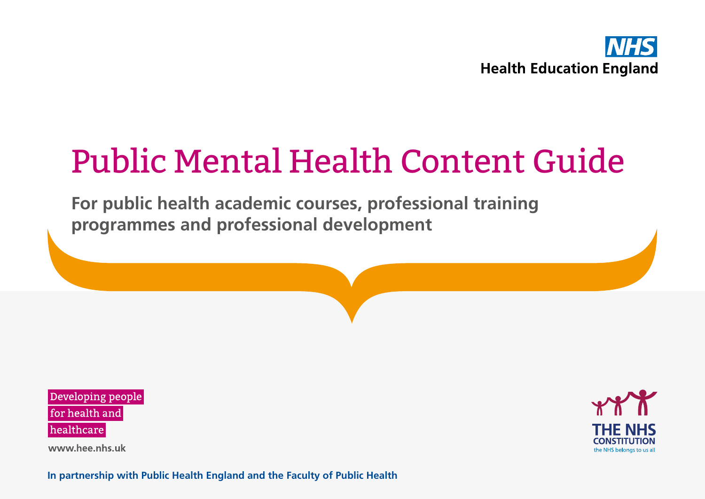

# Public Mental Health Content Guide

**For public health academic courses, professional training programmes and professional development**

Developing people for health and healthcare

www.hee.nhs.uk



**In partnership with Public Health England and the Faculty of Public Health** <sup>1</sup>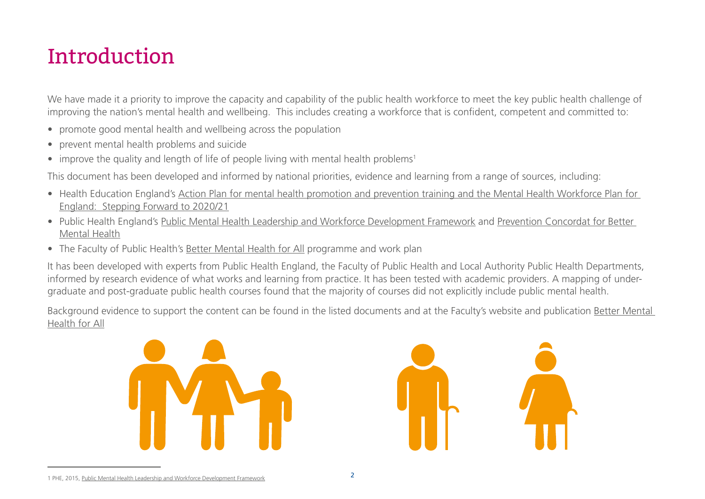# Introduction

We have made it a priority to improve the capacity and capability of the public health workforce to meet the key public health challenge of improving the nation's mental health and wellbeing. This includes creating a workforce that is confident, competent and committed to:

- promote good mental health and wellbeing across the population
- prevent mental health problems and suicide
- improve the quality and length of life of people living with mental health problems<sup>1</sup>

This document has been developed and informed by national priorities, evidence and learning from a range of sources, including:

- Health Education England's [Action Plan for mental health promotion and prevention training and the Mental Health Workforce Plan for](https://www.hee.nhs.uk/sites/default/files/documents/Action plan for mental health promotion and prevention courses 2016-2020.pdf)  [England: Stepping Forward to 2020/21](https://www.hee.nhs.uk/sites/default/files/documents/Action plan for mental health promotion and prevention courses 2016-2020.pdf)
- Public Health England's [Public Mental Health Leadership and Workforce Development Framework](https://www.gov.uk/government/publications/public-mental-health-leadership-and-workforce-development-framework) and [Prevention Concordat for Better](https://www.gov.uk/government/collections/prevention-concordat-for-better-mental-health)  [Mental Health](https://www.gov.uk/government/collections/prevention-concordat-for-better-mental-health)
- The Faculty of Public Health's [Better Mental Health for All](http://www.fph.org.uk/better_mental_health_for_all) programme and work plan

It has been developed with experts from Public Health England, the Faculty of Public Health and Local Authority Public Health Departments, informed by research evidence of what works and learning from practice. It has been tested with academic providers. A mapping of undergraduate and post-graduate public health courses found that the majority of courses did not explicitly include public mental health.

Background evidence to support the content can be found in the listed documents and at the Faculty's website and publication [Better Mental](http://www.fph.org.uk/better_mental_health_for_all )  [Health for All](http://www.fph.org.uk/better_mental_health_for_all )



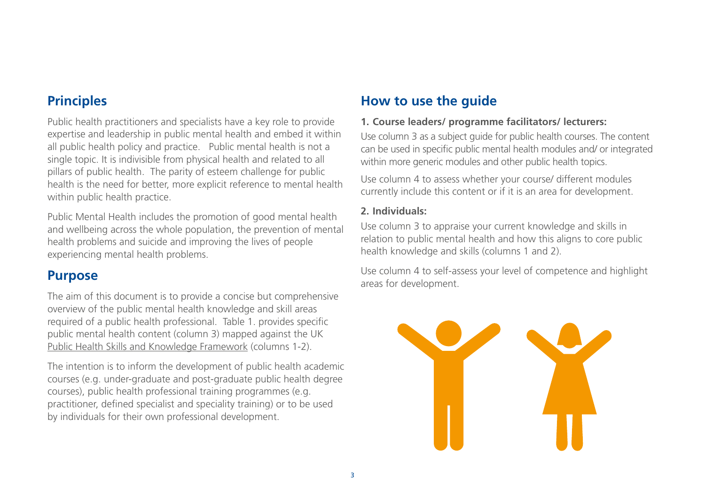## **Principles**

Public health practitioners and specialists have a key role to provide expertise and leadership in public mental health and embed it within all public health policy and practice. Public mental health is not a single topic. It is indivisible from physical health and related to all pillars of public health. The parity of esteem challenge for public health is the need for better, more explicit reference to mental health within public health practice.

Public Mental Health includes the promotion of good mental health and wellbeing across the whole population, the prevention of mental health problems and suicide and improving the lives of people experiencing mental health problems.

### **Purpose**

The aim of this document is to provide a concise but comprehensive overview of the public mental health knowledge and skill areas required of a public health professional. Table 1. provides specific public mental health content (column 3) mapped against the UK [Public Health Skills and Knowledge Framework](https://www.gov.uk/government/publications/public-health-skills-and-knowledge-framework-phskf) (columns 1-2).

The intention is to inform the development of public health academic courses (e.g. under-graduate and post-graduate public health degree courses), public health professional training programmes (e.g. practitioner, defined specialist and speciality training) or to be used by individuals for their own professional development.

# **How to use the guide**

#### **1. Course leaders/ programme facilitators/ lecturers:**

Use column 3 as a subject guide for public health courses. The content can be used in specific public mental health modules and/ or integrated within more generic modules and other public health topics.

Use column 4 to assess whether your course/ different modules currently include this content or if it is an area for development.

#### **2. Individuals:**

Use column 3 to appraise your current knowledge and skills in relation to public mental health and how this aligns to core public health knowledge and skills (columns 1 and 2).

Use column 4 to self-assess your level of competence and highlight areas for development.

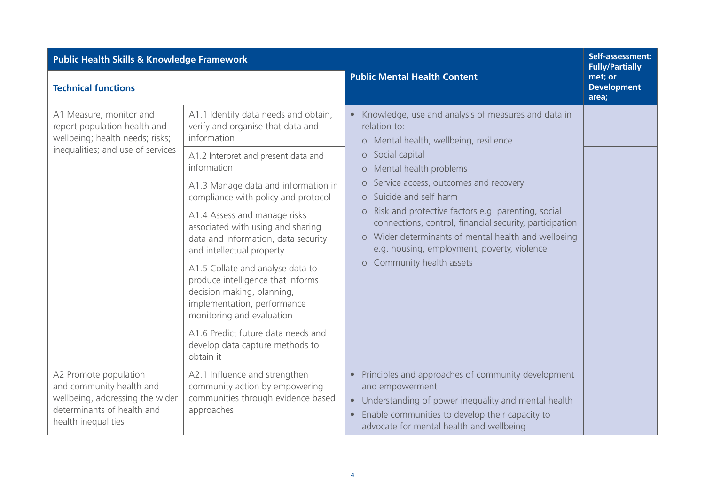| <b>Public Health Skills &amp; Knowledge Framework</b>                                                                                     |                                                                                                                                                                 |                                                                                                                                                                                                                                                                                                                                   | Self-assessment:<br><b>Fully/Partially</b> |
|-------------------------------------------------------------------------------------------------------------------------------------------|-----------------------------------------------------------------------------------------------------------------------------------------------------------------|-----------------------------------------------------------------------------------------------------------------------------------------------------------------------------------------------------------------------------------------------------------------------------------------------------------------------------------|--------------------------------------------|
| <b>Technical functions</b>                                                                                                                |                                                                                                                                                                 | <b>Public Mental Health Content</b>                                                                                                                                                                                                                                                                                               | met; or<br><b>Development</b><br>area;     |
| A1 Measure, monitor and<br>report population health and<br>wellbeing; health needs; risks;<br>inequalities; and use of services           | A1.1 Identify data needs and obtain,<br>verify and organise that data and<br>information                                                                        | Knowledge, use and analysis of measures and data in<br>$\bullet$<br>relation to:<br>o Mental health, wellbeing, resilience                                                                                                                                                                                                        |                                            |
|                                                                                                                                           | A1.2 Interpret and present data and<br>information                                                                                                              | o Social capital<br>o Mental health problems                                                                                                                                                                                                                                                                                      |                                            |
|                                                                                                                                           | A1.3 Manage data and information in<br>compliance with policy and protocol                                                                                      | Service access, outcomes and recovery<br>$\circ$<br>o Suicide and self harm<br>o Risk and protective factors e.g. parenting, social<br>connections, control, financial security, participation<br>o Wider determinants of mental health and wellbeing<br>e.g. housing, employment, poverty, violence<br>o Community health assets |                                            |
|                                                                                                                                           | A1.4 Assess and manage risks<br>associated with using and sharing<br>data and information, data security<br>and intellectual property                           |                                                                                                                                                                                                                                                                                                                                   |                                            |
|                                                                                                                                           | A1.5 Collate and analyse data to<br>produce intelligence that informs<br>decision making, planning,<br>implementation, performance<br>monitoring and evaluation |                                                                                                                                                                                                                                                                                                                                   |                                            |
|                                                                                                                                           | A1.6 Predict future data needs and<br>develop data capture methods to<br>obtain it                                                                              |                                                                                                                                                                                                                                                                                                                                   |                                            |
| A2 Promote population<br>and community health and<br>wellbeing, addressing the wider<br>determinants of health and<br>health inequalities | A2.1 Influence and strengthen<br>community action by empowering<br>communities through evidence based<br>approaches                                             | Principles and approaches of community development<br>$\bullet$<br>and empowerment<br>Understanding of power inequality and mental health<br>$\bullet$<br>Enable communities to develop their capacity to<br>$\bullet$<br>advocate for mental health and wellbeing                                                                |                                            |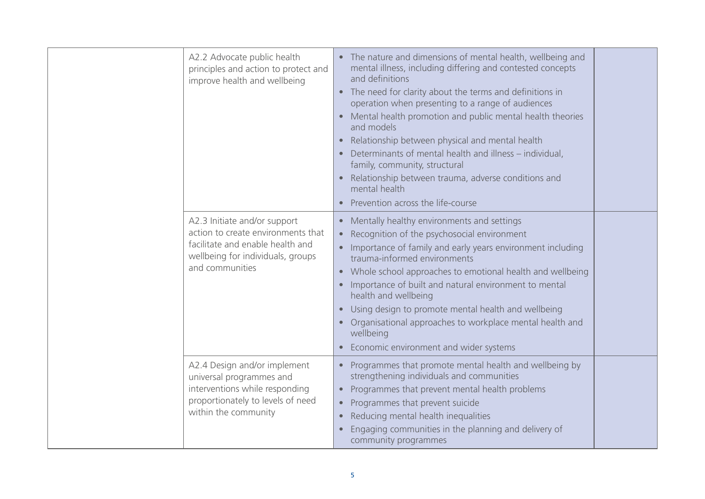| A2.2 Advocate public health<br>principles and action to protect and<br>improve health and wellbeing                                                            | The nature and dimensions of mental health, wellbeing and<br>mental illness, including differing and contested concepts<br>and definitions<br>• The need for clarity about the terms and definitions in<br>operation when presenting to a range of audiences<br>Mental health promotion and public mental health theories<br>and models<br>Relationship between physical and mental health<br>$\bullet$<br>Determinants of mental health and illness - individual,<br>family, community, structural<br>Relationship between trauma, adverse conditions and<br>$\bullet$<br>mental health<br>Prevention across the life-course |  |
|----------------------------------------------------------------------------------------------------------------------------------------------------------------|-------------------------------------------------------------------------------------------------------------------------------------------------------------------------------------------------------------------------------------------------------------------------------------------------------------------------------------------------------------------------------------------------------------------------------------------------------------------------------------------------------------------------------------------------------------------------------------------------------------------------------|--|
| A2.3 Initiate and/or support<br>action to create environments that<br>facilitate and enable health and<br>wellbeing for individuals, groups<br>and communities | • Mentally healthy environments and settings<br>Recognition of the psychosocial environment<br>Importance of family and early years environment including<br>trauma-informed environments<br>Whole school approaches to emotional health and wellbeing<br>$\bullet$<br>Importance of built and natural environment to mental<br>$\bullet$<br>health and wellbeing<br>Using design to promote mental health and wellbeing<br>Organisational approaches to workplace mental health and<br>wellbeing<br>Economic environment and wider systems<br>$\bullet$                                                                      |  |
| A2.4 Design and/or implement<br>universal programmes and<br>interventions while responding<br>proportionately to levels of need<br>within the community        | Programmes that promote mental health and wellbeing by<br>strengthening individuals and communities<br>Programmes that prevent mental health problems<br>Programmes that prevent suicide<br>$\bullet$<br>Reducing mental health inequalities<br>Engaging communities in the planning and delivery of<br>community programmes                                                                                                                                                                                                                                                                                                  |  |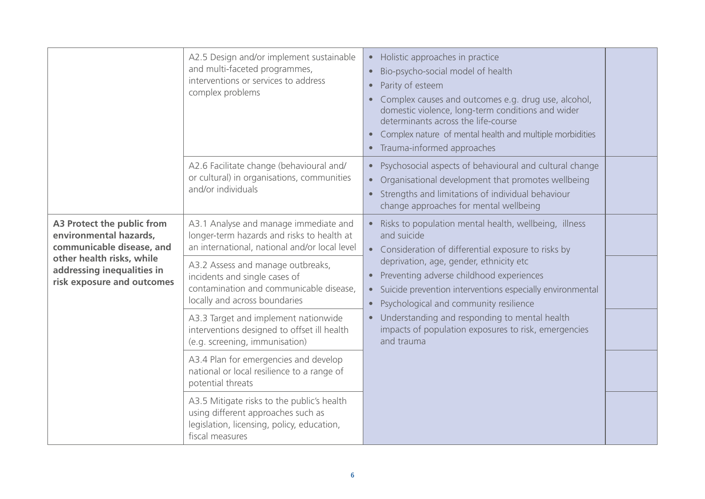|                                                                                                                                                                            | A2.5 Design and/or implement sustainable<br>and multi-faceted programmes,<br>interventions or services to address<br>complex problems             | Holistic approaches in practice<br>$\bullet$<br>Bio-psycho-social model of health<br>$\bullet$<br>Parity of esteem<br>$\bullet$<br>Complex causes and outcomes e.g. drug use, alcohol,<br>domestic violence, long-term conditions and wider<br>determinants across the life-course<br>Complex nature of mental health and multiple morbidities<br>$\bullet$<br>Trauma-informed approaches<br>$\bullet$                                                                                 |  |
|----------------------------------------------------------------------------------------------------------------------------------------------------------------------------|---------------------------------------------------------------------------------------------------------------------------------------------------|----------------------------------------------------------------------------------------------------------------------------------------------------------------------------------------------------------------------------------------------------------------------------------------------------------------------------------------------------------------------------------------------------------------------------------------------------------------------------------------|--|
|                                                                                                                                                                            | A2.6 Facilitate change (behavioural and/<br>or cultural) in organisations, communities<br>and/or individuals                                      | Psychosocial aspects of behavioural and cultural change<br>$\bullet$<br>Organisational development that promotes wellbeing<br>$\bullet$<br>Strengths and limitations of individual behaviour<br>change approaches for mental wellbeing                                                                                                                                                                                                                                                 |  |
| A3 Protect the public from<br>environmental hazards,<br>communicable disease, and<br>other health risks, while<br>addressing inequalities in<br>risk exposure and outcomes | A3.1 Analyse and manage immediate and<br>longer-term hazards and risks to health at<br>an international, national and/or local level              | Risks to population mental health, wellbeing, illness<br>and suicide<br>Consideration of differential exposure to risks by<br>deprivation, age, gender, ethnicity etc<br>Preventing adverse childhood experiences<br>Suicide prevention interventions especially environmental<br>$\bullet$<br>Psychological and community resilience<br>$\bullet$<br>Understanding and responding to mental health<br>$\bullet$<br>impacts of population exposures to risk, emergencies<br>and trauma |  |
|                                                                                                                                                                            | A3.2 Assess and manage outbreaks,<br>incidents and single cases of<br>contamination and communicable disease,<br>locally and across boundaries    |                                                                                                                                                                                                                                                                                                                                                                                                                                                                                        |  |
|                                                                                                                                                                            | A3.3 Target and implement nationwide<br>interventions designed to offset ill health<br>(e.g. screening, immunisation)                             |                                                                                                                                                                                                                                                                                                                                                                                                                                                                                        |  |
|                                                                                                                                                                            | A3.4 Plan for emergencies and develop<br>national or local resilience to a range of<br>potential threats                                          |                                                                                                                                                                                                                                                                                                                                                                                                                                                                                        |  |
|                                                                                                                                                                            | A3.5 Mitigate risks to the public's health<br>using different approaches such as<br>legislation, licensing, policy, education,<br>fiscal measures |                                                                                                                                                                                                                                                                                                                                                                                                                                                                                        |  |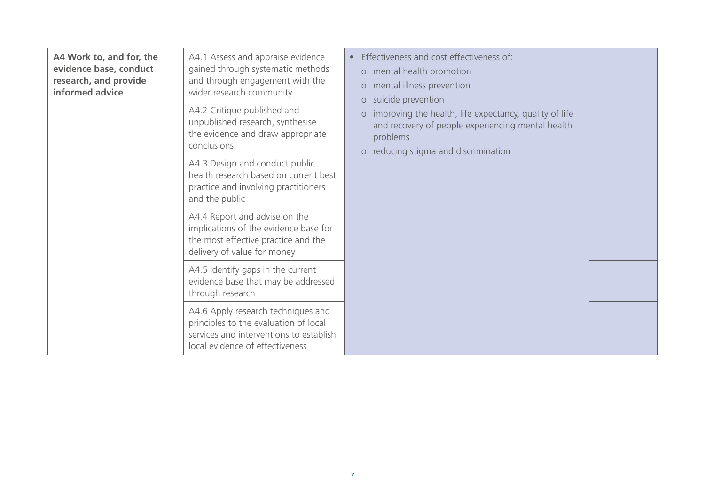| A4 Work to, and for, the<br>evidence base, conduct<br>research, and provide<br>informed advice | Effectiveness and cost effectiveness of:<br>A4.1 Assess and appraise evidence<br>$\bullet$<br>gained through systematic methods<br>o mental health promotion<br>and through engagement with the<br>o mental illness prevention<br>wider research community<br>o suicide prevention<br>A4.2 Critique published and<br>o improving the health, life expectancy, quality of life<br>unpublished research, synthesise<br>and recovery of people experiencing mental health<br>the evidence and draw appropriate<br>problems<br>conclusions | o reducing stigma and discrimination |  |
|------------------------------------------------------------------------------------------------|----------------------------------------------------------------------------------------------------------------------------------------------------------------------------------------------------------------------------------------------------------------------------------------------------------------------------------------------------------------------------------------------------------------------------------------------------------------------------------------------------------------------------------------|--------------------------------------|--|
|                                                                                                | A4.3 Design and conduct public<br>health research based on current best<br>practice and involving practitioners<br>and the public                                                                                                                                                                                                                                                                                                                                                                                                      |                                      |  |
|                                                                                                | A4.4 Report and advise on the<br>implications of the evidence base for<br>the most effective practice and the<br>delivery of value for money                                                                                                                                                                                                                                                                                                                                                                                           |                                      |  |
|                                                                                                | A4.5 Identify gaps in the current<br>evidence base that may be addressed<br>through research                                                                                                                                                                                                                                                                                                                                                                                                                                           |                                      |  |
|                                                                                                | A4.6 Apply research techniques and<br>principles to the evaluation of local<br>services and interventions to establish<br>local evidence of effectiveness                                                                                                                                                                                                                                                                                                                                                                              |                                      |  |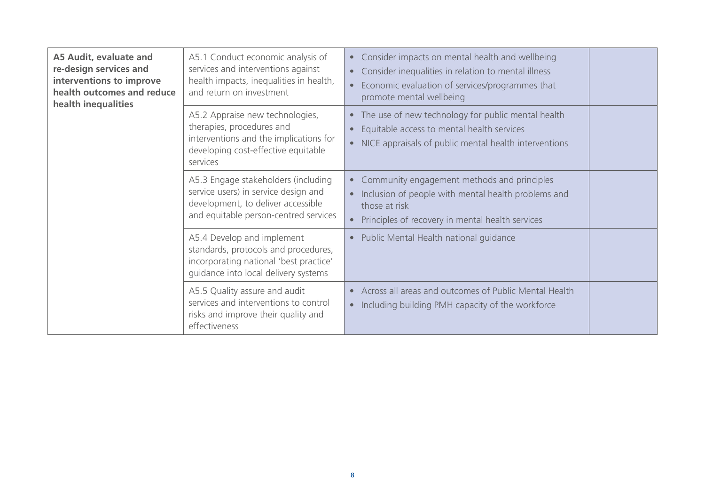| A5 Audit, evaluate and<br>re-design services and<br>interventions to improve<br>health outcomes and reduce<br>health inequalities | A5.1 Conduct economic analysis of<br>services and interventions against<br>health impacts, inequalities in health,<br>and return on investment             | Consider impacts on mental health and wellbeing<br>$\bullet$<br>Consider inequalities in relation to mental illness<br>$\bullet$<br>Economic evaluation of services/programmes that<br>promote mental wellbeing |  |
|-----------------------------------------------------------------------------------------------------------------------------------|------------------------------------------------------------------------------------------------------------------------------------------------------------|-----------------------------------------------------------------------------------------------------------------------------------------------------------------------------------------------------------------|--|
|                                                                                                                                   | A5.2 Appraise new technologies,<br>therapies, procedures and<br>interventions and the implications for<br>developing cost-effective equitable<br>services  | The use of new technology for public mental health<br>$\bullet$<br>Equitable access to mental health services<br>$\bullet$<br>NICE appraisals of public mental health interventions<br>$\bullet$                |  |
|                                                                                                                                   | A5.3 Engage stakeholders (including<br>service users) in service design and<br>development, to deliver accessible<br>and equitable person-centred services | Community engagement methods and principles<br>$\bullet$<br>Inclusion of people with mental health problems and<br>$\bullet$<br>those at risk<br>Principles of recovery in mental health services               |  |
|                                                                                                                                   | A5.4 Develop and implement<br>standards, protocols and procedures,<br>incorporating national 'best practice'<br>guidance into local delivery systems       | Public Mental Health national guidance<br>$\bullet$                                                                                                                                                             |  |
|                                                                                                                                   | A5.5 Quality assure and audit<br>services and interventions to control<br>risks and improve their quality and<br>effectiveness                             | Across all areas and outcomes of Public Mental Health<br>$\bullet$<br>• Including building PMH capacity of the workforce                                                                                        |  |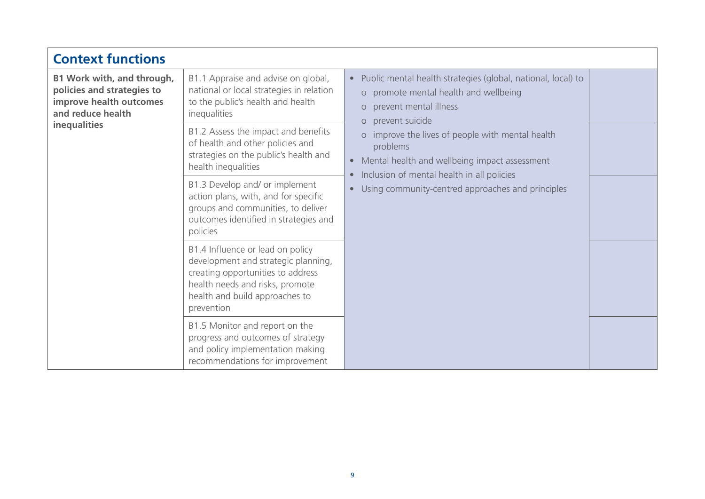| <b>Context functions</b>                                                                                                 |                                                                                                                                                                                                 |                                                                                                                                                                                                                                                                                                                                                                                                                                                           |  |
|--------------------------------------------------------------------------------------------------------------------------|-------------------------------------------------------------------------------------------------------------------------------------------------------------------------------------------------|-----------------------------------------------------------------------------------------------------------------------------------------------------------------------------------------------------------------------------------------------------------------------------------------------------------------------------------------------------------------------------------------------------------------------------------------------------------|--|
| B1 Work with, and through,<br>policies and strategies to<br>improve health outcomes<br>and reduce health<br>inequalities | B1.1 Appraise and advise on global,<br>national or local strategies in relation<br>to the public's health and health<br>inequalities                                                            | Public mental health strategies (global, national, local) to<br>$\bullet$<br>o promote mental health and wellbeing<br>prevent mental illness<br>$\circ$<br>prevent suicide<br>$\circ$<br>improve the lives of people with mental health<br>$\circ$<br>problems<br>Mental health and wellbeing impact assessment<br>$\bullet$<br>Inclusion of mental health in all policies<br>$\bullet$<br>Using community-centred approaches and principles<br>$\bullet$ |  |
|                                                                                                                          | B1.2 Assess the impact and benefits<br>of health and other policies and<br>strategies on the public's health and<br>health inequalities                                                         |                                                                                                                                                                                                                                                                                                                                                                                                                                                           |  |
|                                                                                                                          | B1.3 Develop and/ or implement<br>action plans, with, and for specific<br>groups and communities, to deliver<br>outcomes identified in strategies and<br>policies                               |                                                                                                                                                                                                                                                                                                                                                                                                                                                           |  |
|                                                                                                                          | B1.4 Influence or lead on policy<br>development and strategic planning,<br>creating opportunities to address<br>health needs and risks, promote<br>health and build approaches to<br>prevention |                                                                                                                                                                                                                                                                                                                                                                                                                                                           |  |
|                                                                                                                          | B1.5 Monitor and report on the<br>progress and outcomes of strategy<br>and policy implementation making<br>recommendations for improvement                                                      |                                                                                                                                                                                                                                                                                                                                                                                                                                                           |  |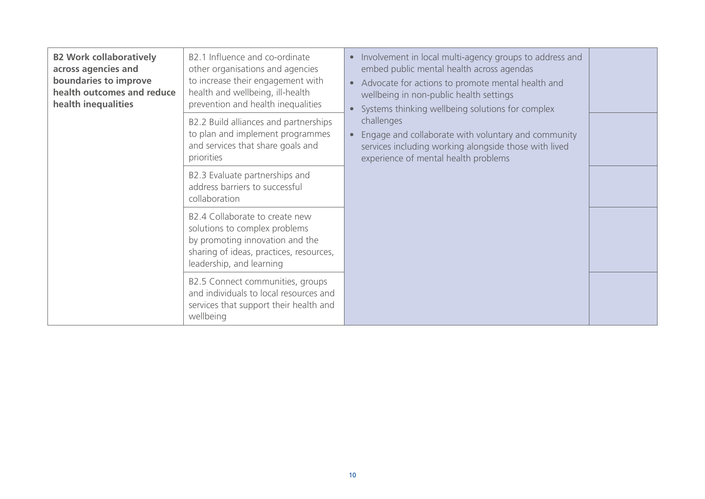| <b>B2 Work collaboratively</b><br>across agencies and<br>boundaries to improve<br>health outcomes and reduce<br>health inequalities | B2.1 Influence and co-ordinate<br>other organisations and agencies<br>to increase their engagement with<br>health and wellbeing, ill-health<br>prevention and health inequalities<br>B2.2 Build alliances and partnerships<br>to plan and implement programmes<br>and services that share goals and<br>priorities | Involvement in local multi-agency groups to address and<br>$\bullet$<br>embed public mental health across agendas<br>Advocate for actions to promote mental health and<br>$\bullet$<br>wellbeing in non-public health settings<br>Systems thinking wellbeing solutions for complex<br>$\bullet$<br>challenges<br>Engage and collaborate with voluntary and community<br>services including working alongside those with lived<br>experience of mental health problems |  |
|-------------------------------------------------------------------------------------------------------------------------------------|-------------------------------------------------------------------------------------------------------------------------------------------------------------------------------------------------------------------------------------------------------------------------------------------------------------------|-----------------------------------------------------------------------------------------------------------------------------------------------------------------------------------------------------------------------------------------------------------------------------------------------------------------------------------------------------------------------------------------------------------------------------------------------------------------------|--|
|                                                                                                                                     | B2.3 Evaluate partnerships and<br>address barriers to successful<br>collaboration                                                                                                                                                                                                                                 |                                                                                                                                                                                                                                                                                                                                                                                                                                                                       |  |
|                                                                                                                                     | B2.4 Collaborate to create new<br>solutions to complex problems<br>by promoting innovation and the<br>sharing of ideas, practices, resources,<br>leadership, and learning                                                                                                                                         |                                                                                                                                                                                                                                                                                                                                                                                                                                                                       |  |
|                                                                                                                                     | B2.5 Connect communities, groups<br>and individuals to local resources and<br>services that support their health and<br>wellbeing                                                                                                                                                                                 |                                                                                                                                                                                                                                                                                                                                                                                                                                                                       |  |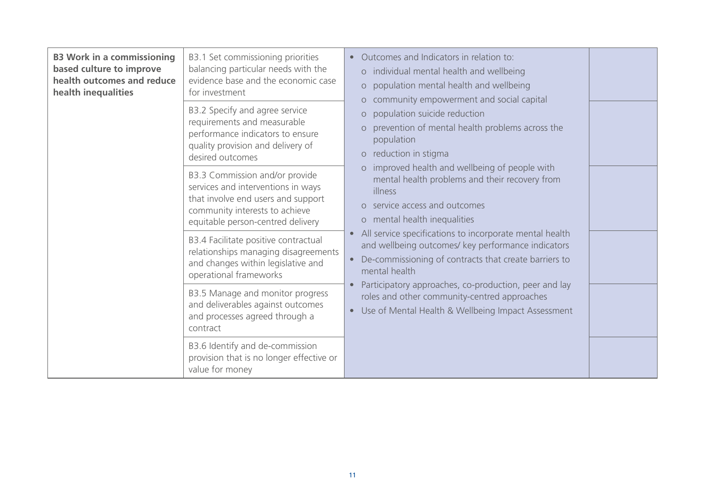| <b>B3 Work in a commissioning</b><br>based culture to improve<br>health outcomes and reduce<br>health inequalities | B3.1 Set commissioning priorities<br>balancing particular needs with the<br>evidence base and the economic case<br>for investment<br>B3.2 Specify and agree service<br>requirements and measurable<br>performance indicators to ensure<br>quality provision and delivery of<br>desired outcomes | Outcomes and Indicators in relation to:<br>o individual mental health and wellbeing<br>population mental health and wellbeing<br>$\circ$<br>community empowerment and social capital<br>$\circ$<br>population suicide reduction<br>$\circ$<br>prevention of mental health problems across the<br>$\circ$<br>population<br>reduction in stigma<br>$\circ$<br>improved health and wellbeing of people with<br>$\Omega$<br>mental health problems and their recovery from<br>illness<br>o service access and outcomes<br>o mental health inequalities<br>All service specifications to incorporate mental health<br>$\bullet$<br>and wellbeing outcomes/ key performance indicators<br>De-commissioning of contracts that create barriers to<br>$\bullet$<br>mental health<br>Participatory approaches, co-production, peer and lay<br>roles and other community-centred approaches<br>Use of Mental Health & Wellbeing Impact Assessment<br>$\bullet$ |  |
|--------------------------------------------------------------------------------------------------------------------|-------------------------------------------------------------------------------------------------------------------------------------------------------------------------------------------------------------------------------------------------------------------------------------------------|-----------------------------------------------------------------------------------------------------------------------------------------------------------------------------------------------------------------------------------------------------------------------------------------------------------------------------------------------------------------------------------------------------------------------------------------------------------------------------------------------------------------------------------------------------------------------------------------------------------------------------------------------------------------------------------------------------------------------------------------------------------------------------------------------------------------------------------------------------------------------------------------------------------------------------------------------------|--|
|                                                                                                                    | B3.3 Commission and/or provide<br>services and interventions in ways<br>that involve end users and support<br>community interests to achieve<br>equitable person-centred delivery                                                                                                               |                                                                                                                                                                                                                                                                                                                                                                                                                                                                                                                                                                                                                                                                                                                                                                                                                                                                                                                                                     |  |
|                                                                                                                    | B3.4 Facilitate positive contractual<br>relationships managing disagreements<br>and changes within legislative and<br>operational frameworks                                                                                                                                                    |                                                                                                                                                                                                                                                                                                                                                                                                                                                                                                                                                                                                                                                                                                                                                                                                                                                                                                                                                     |  |
|                                                                                                                    | B3.5 Manage and monitor progress<br>and deliverables against outcomes<br>and processes agreed through a<br>contract                                                                                                                                                                             |                                                                                                                                                                                                                                                                                                                                                                                                                                                                                                                                                                                                                                                                                                                                                                                                                                                                                                                                                     |  |
|                                                                                                                    | B3.6 Identify and de-commission<br>provision that is no longer effective or<br>value for money                                                                                                                                                                                                  |                                                                                                                                                                                                                                                                                                                                                                                                                                                                                                                                                                                                                                                                                                                                                                                                                                                                                                                                                     |  |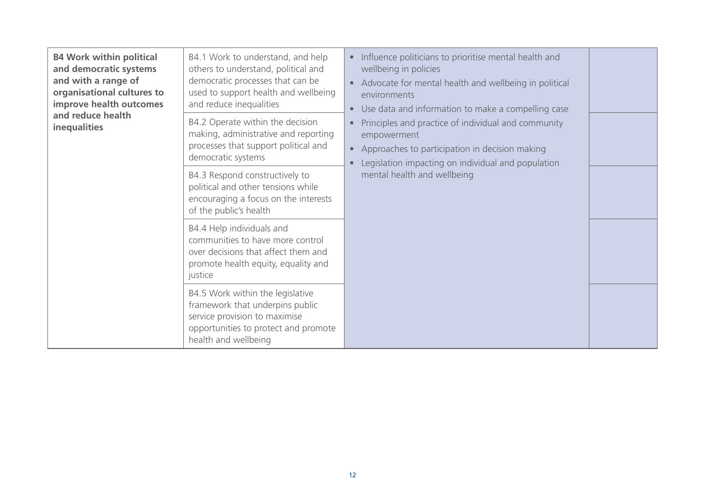| <b>B4 Work within political</b><br>and democratic systems<br>and with a range of<br>organisational cultures to<br>improve health outcomes<br>and reduce health<br>inequalities | B4.1 Work to understand, and help<br>others to understand, political and<br>democratic processes that can be<br>used to support health and wellbeing<br>and reduce inequalities<br>B4.2 Operate within the decision<br>making, administrative and reporting<br>processes that support political and<br>democratic systems | Influence politicians to prioritise mental health and<br>$\bullet$<br>wellbeing in policies<br>Advocate for mental health and wellbeing in political<br>$\bullet$<br>environments<br>Use data and information to make a compelling case<br>$\bullet$<br>Principles and practice of individual and community<br>empowerment<br>Approaches to participation in decision making<br>$\bullet$<br>Legislation impacting on individual and population<br>mental health and wellbeing |  |  |
|--------------------------------------------------------------------------------------------------------------------------------------------------------------------------------|---------------------------------------------------------------------------------------------------------------------------------------------------------------------------------------------------------------------------------------------------------------------------------------------------------------------------|--------------------------------------------------------------------------------------------------------------------------------------------------------------------------------------------------------------------------------------------------------------------------------------------------------------------------------------------------------------------------------------------------------------------------------------------------------------------------------|--|--|
|                                                                                                                                                                                | B4.3 Respond constructively to<br>political and other tensions while<br>encouraging a focus on the interests<br>of the public's health                                                                                                                                                                                    |                                                                                                                                                                                                                                                                                                                                                                                                                                                                                |  |  |
|                                                                                                                                                                                | B4.4 Help individuals and<br>communities to have more control<br>over decisions that affect them and<br>promote health equity, equality and<br>justice                                                                                                                                                                    |                                                                                                                                                                                                                                                                                                                                                                                                                                                                                |  |  |
|                                                                                                                                                                                | B4.5 Work within the legislative<br>framework that underpins public<br>service provision to maximise<br>opportunities to protect and promote<br>health and wellbeing                                                                                                                                                      |                                                                                                                                                                                                                                                                                                                                                                                                                                                                                |  |  |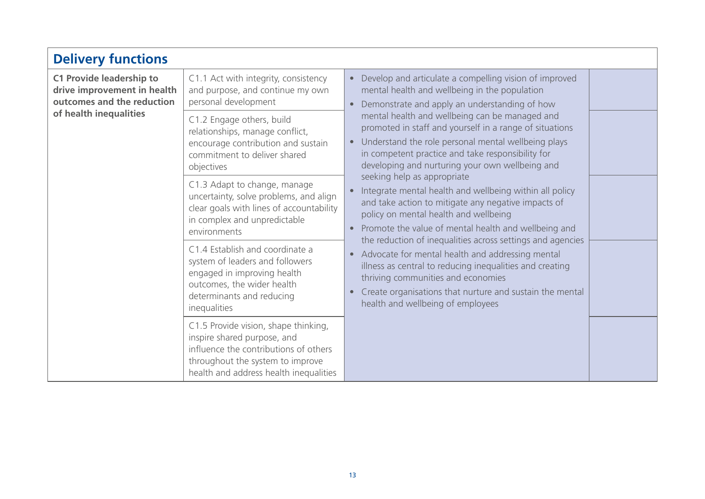| <b>Delivery functions</b>                                                                                              |                                                                                                                                                                                            |                                                                                                                                                                                                                                                                                                                                             |
|------------------------------------------------------------------------------------------------------------------------|--------------------------------------------------------------------------------------------------------------------------------------------------------------------------------------------|---------------------------------------------------------------------------------------------------------------------------------------------------------------------------------------------------------------------------------------------------------------------------------------------------------------------------------------------|
| <b>C1 Provide leadership to</b><br>drive improvement in health<br>outcomes and the reduction<br>of health inequalities | C1.1 Act with integrity, consistency<br>and purpose, and continue my own<br>personal development                                                                                           | Develop and articulate a compelling vision of improved<br>$\bullet$<br>mental health and wellbeing in the population<br>Demonstrate and apply an understanding of how<br>$\bullet$                                                                                                                                                          |
|                                                                                                                        | C1.2 Engage others, build<br>relationships, manage conflict,<br>encourage contribution and sustain<br>commitment to deliver shared<br>objectives                                           | mental health and wellbeing can be managed and<br>promoted in staff and yourself in a range of situations<br>Understand the role personal mental wellbeing plays<br>$\bullet$<br>in competent practice and take responsibility for<br>developing and nurturing your own wellbeing and                                                       |
|                                                                                                                        | C1.3 Adapt to change, manage<br>uncertainty, solve problems, and align<br>clear goals with lines of accountability<br>in complex and unpredictable<br>environments                         | seeking help as appropriate<br>Integrate mental health and wellbeing within all policy<br>$\bullet$<br>and take action to mitigate any negative impacts of<br>policy on mental health and wellbeing<br>Promote the value of mental health and wellbeing and<br>$\bullet$                                                                    |
|                                                                                                                        | C1.4 Establish and coordinate a<br>system of leaders and followers<br>engaged in improving health<br>outcomes, the wider health<br>determinants and reducing<br>inequalities               | the reduction of inequalities across settings and agencies<br>Advocate for mental health and addressing mental<br>$\bullet$<br>illness as central to reducing inequalities and creating<br>thriving communities and economies<br>Create organisations that nurture and sustain the mental<br>$\bullet$<br>health and wellbeing of employees |
|                                                                                                                        | C1.5 Provide vision, shape thinking,<br>inspire shared purpose, and<br>influence the contributions of others<br>throughout the system to improve<br>health and address health inequalities |                                                                                                                                                                                                                                                                                                                                             |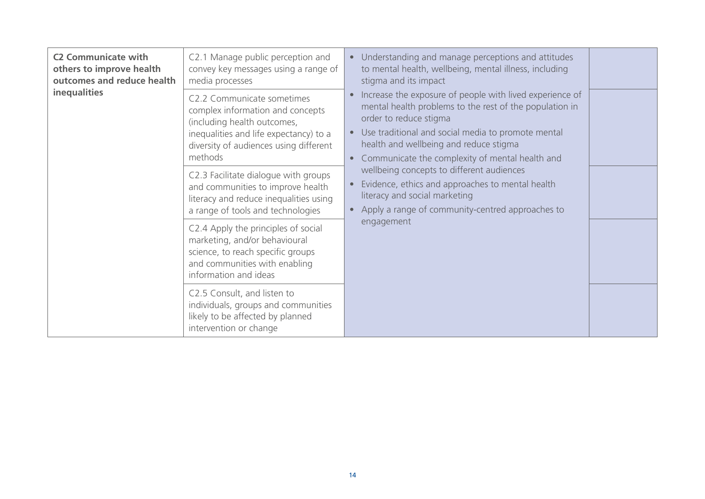| <b>C2 Communicate with</b><br>others to improve health<br>outcomes and reduce health<br><b>inequalities</b> | C2.1 Manage public perception and<br>convey key messages using a range of<br>media processes                                                                                                 | Understanding and manage perceptions and attitudes<br>$\bullet$<br>to mental health, wellbeing, mental illness, including<br>stigma and its impact<br>Increase the exposure of people with lived experience of<br>$\bullet$<br>mental health problems to the rest of the population in<br>order to reduce stigma<br>• Use traditional and social media to promote mental<br>health and wellbeing and reduce stigma<br>Communicate the complexity of mental health and<br>$\bullet$<br>wellbeing concepts to different audiences<br>Evidence, ethics and approaches to mental health<br>literacy and social marketing<br>Apply a range of community-centred approaches to<br>$\bullet$ |  |
|-------------------------------------------------------------------------------------------------------------|----------------------------------------------------------------------------------------------------------------------------------------------------------------------------------------------|---------------------------------------------------------------------------------------------------------------------------------------------------------------------------------------------------------------------------------------------------------------------------------------------------------------------------------------------------------------------------------------------------------------------------------------------------------------------------------------------------------------------------------------------------------------------------------------------------------------------------------------------------------------------------------------|--|
|                                                                                                             | C2.2 Communicate sometimes<br>complex information and concepts<br>(including health outcomes,<br>inequalities and life expectancy) to a<br>diversity of audiences using different<br>methods |                                                                                                                                                                                                                                                                                                                                                                                                                                                                                                                                                                                                                                                                                       |  |
|                                                                                                             | C2.3 Facilitate dialogue with groups<br>and communities to improve health<br>literacy and reduce inequalities using<br>a range of tools and technologies                                     |                                                                                                                                                                                                                                                                                                                                                                                                                                                                                                                                                                                                                                                                                       |  |
|                                                                                                             | C2.4 Apply the principles of social<br>marketing, and/or behavioural<br>science, to reach specific groups<br>and communities with enabling<br>information and ideas                          | engagement                                                                                                                                                                                                                                                                                                                                                                                                                                                                                                                                                                                                                                                                            |  |
|                                                                                                             | C2.5 Consult, and listen to<br>individuals, groups and communities<br>likely to be affected by planned<br>intervention or change                                                             |                                                                                                                                                                                                                                                                                                                                                                                                                                                                                                                                                                                                                                                                                       |  |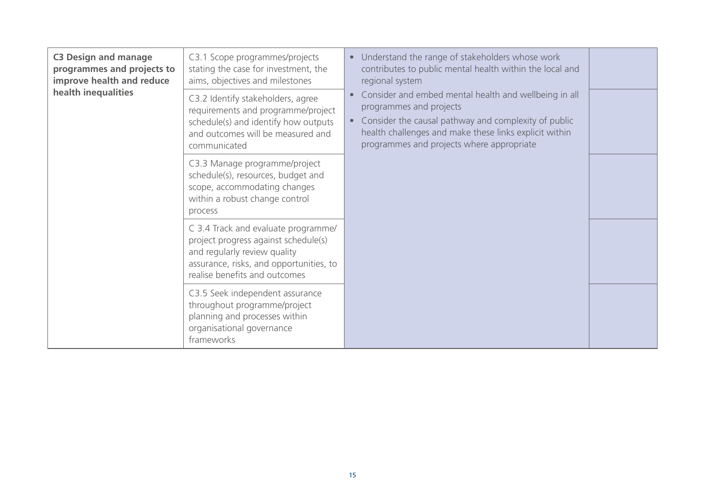| <b>C3 Design and manage</b><br>programmes and projects to<br>improve health and reduce<br>health inequalities | C3.1 Scope programmes/projects<br>stating the case for investment, the<br>aims, objectives and milestones                                                                               | Understand the range of stakeholders whose work<br>$\bullet$<br>contributes to public mental health within the local and<br>regional system                                                                                                                  |  |
|---------------------------------------------------------------------------------------------------------------|-----------------------------------------------------------------------------------------------------------------------------------------------------------------------------------------|--------------------------------------------------------------------------------------------------------------------------------------------------------------------------------------------------------------------------------------------------------------|--|
|                                                                                                               | C3.2 Identify stakeholders, agree<br>requirements and programme/project<br>schedule(s) and identify how outputs<br>and outcomes will be measured and<br>communicated                    | Consider and embed mental health and wellbeing in all<br>programmes and projects<br>Consider the causal pathway and complexity of public<br>$\bullet$<br>health challenges and make these links explicit within<br>programmes and projects where appropriate |  |
|                                                                                                               | C3.3 Manage programme/project<br>schedule(s), resources, budget and<br>scope, accommodating changes<br>within a robust change control<br>process                                        |                                                                                                                                                                                                                                                              |  |
|                                                                                                               | C 3.4 Track and evaluate programme/<br>project progress against schedule(s)<br>and regularly review quality<br>assurance, risks, and opportunities, to<br>realise benefits and outcomes |                                                                                                                                                                                                                                                              |  |
|                                                                                                               | C3.5 Seek independent assurance<br>throughout programme/project<br>planning and processes within<br>organisational governance<br>frameworks                                             |                                                                                                                                                                                                                                                              |  |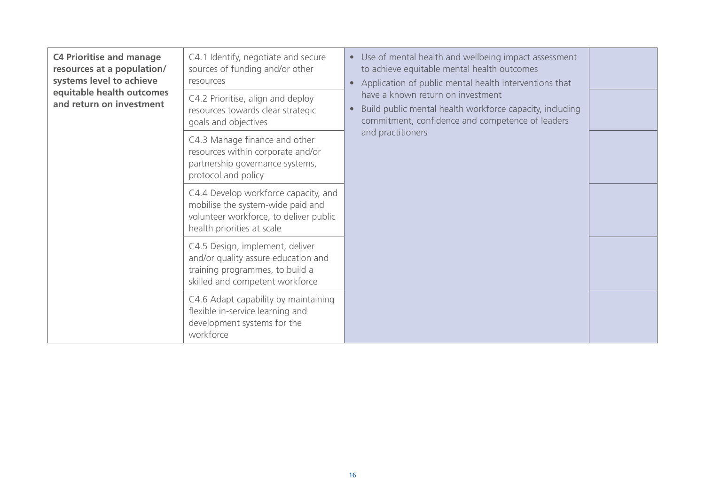| <b>C4 Prioritise and manage</b><br>resources at a population/<br>systems level to achieve<br>equitable health outcomes<br>and return on investment | C4.1 Identify, negotiate and secure<br>sources of funding and/or other<br>resources                                                               | • Use of mental health and wellbeing impact assessment<br>to achieve equitable mental health outcomes<br>Application of public mental health interventions that<br>$\bullet$<br>have a known return on investment<br>Build public mental health workforce capacity, including<br>$\bullet$<br>commitment, confidence and competence of leaders<br>and practitioners |  |
|----------------------------------------------------------------------------------------------------------------------------------------------------|---------------------------------------------------------------------------------------------------------------------------------------------------|---------------------------------------------------------------------------------------------------------------------------------------------------------------------------------------------------------------------------------------------------------------------------------------------------------------------------------------------------------------------|--|
|                                                                                                                                                    | C4.2 Prioritise, align and deploy<br>resources towards clear strategic<br>goals and objectives                                                    |                                                                                                                                                                                                                                                                                                                                                                     |  |
|                                                                                                                                                    | C4.3 Manage finance and other<br>resources within corporate and/or<br>partnership governance systems,<br>protocol and policy                      |                                                                                                                                                                                                                                                                                                                                                                     |  |
|                                                                                                                                                    | C4.4 Develop workforce capacity, and<br>mobilise the system-wide paid and<br>volunteer workforce, to deliver public<br>health priorities at scale |                                                                                                                                                                                                                                                                                                                                                                     |  |
|                                                                                                                                                    | C4.5 Design, implement, deliver<br>and/or quality assure education and<br>training programmes, to build a<br>skilled and competent workforce      |                                                                                                                                                                                                                                                                                                                                                                     |  |
|                                                                                                                                                    | C4.6 Adapt capability by maintaining<br>flexible in-service learning and<br>development systems for the<br>workforce                              |                                                                                                                                                                                                                                                                                                                                                                     |  |